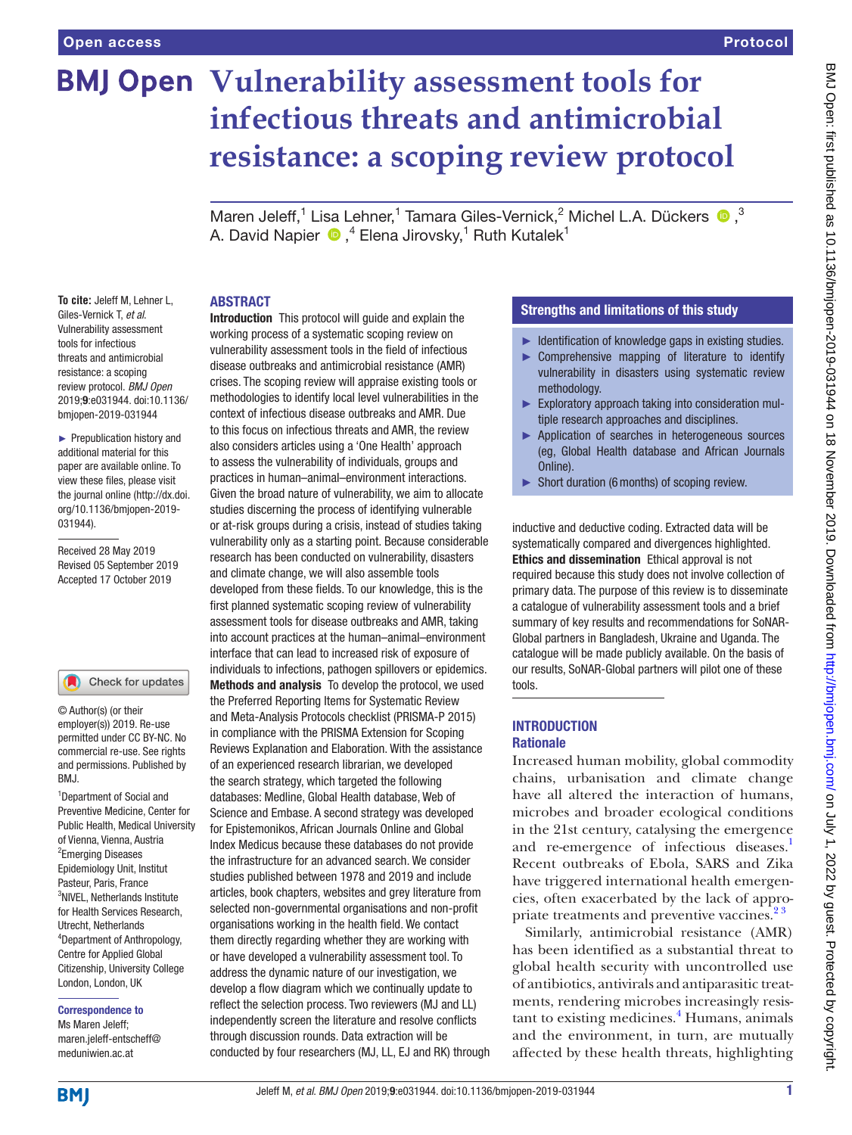# **BMJ Open Vulnerability assessment tools for infectious threats and antimicrobial resistance: a scoping review protocol**

Maren Jeleff,<sup>1</sup> Lisa Lehner,<sup>1</sup> Tamara Giles-Vernick,<sup>2</sup> Michel L.A. Dückers  $\bullet$ ,<sup>3</sup> A. David Napier  $\bigcirc$  ,<sup>4</sup> Elena Jirovsky,<sup>1</sup> Ruth Kutalek<sup>1</sup>

#### **ABSTRACT**

**To cite:** Jeleff M, Lehner L, Giles-Vernick T, *et al*. Vulnerability assessment tools for infectious threats and antimicrobial resistance: a scoping review protocol. *BMJ Open* 2019;9:e031944. doi:10.1136/ bmjopen-2019-031944

► Prepublication history and additional material for this paper are available online. To view these files, please visit the journal online (http://dx.doi. org/10.1136/bmjopen-2019- 031944).

Received 28 May 2019 Revised 05 September 2019 Accepted 17 October 2019

#### Check for updates

© Author(s) (or their employer(s)) 2019. Re-use permitted under CC BY-NC. No commercial re-use. See rights and permissions. Published by BMJ.

<sup>1</sup>Department of Social and Preventive Medicine, Center for Public Health, Medical University of Vienna, Vienna, Austria <sup>2</sup> Emerging Diseases Epidemiology Unit, Institut Pasteur, Paris, France 3 NIVEL, Netherlands Institute for Health Services Research, Utrecht, Netherlands 4 Department of Anthropology, Centre for Applied Global Citizenship, University College London, London, UK

#### Correspondence to

Ms Maren Jeleff; maren.jeleff-entscheff@ meduniwien ac.at

Introduction This protocol will quide and explain the working process of a systematic scoping review on vulnerability assessment tools in the field of infectious disease outbreaks and antimicrobial resistance (AMR) crises. The scoping review will appraise existing tools or methodologies to identify local level vulnerabilities in the context of infectious disease outbreaks and AMR. Due to this focus on infectious threats and AMR, the review also considers articles using a 'One Health' approach to assess the vulnerability of individuals, groups and practices in human–animal–environment interactions. Given the broad nature of vulnerability, we aim to allocate studies discerning the process of identifying vulnerable or at-risk groups during a crisis, instead of studies taking vulnerability only as a starting point. Because considerable research has been conducted on vulnerability, disasters and climate change, we will also assemble tools developed from these fields. To our knowledge, this is the first planned systematic scoping review of vulnerability assessment tools for disease outbreaks and AMR, taking into account practices at the human–animal–environment interface that can lead to increased risk of exposure of individuals to infections, pathogen spillovers or epidemics. Methods and analysis To develop the protocol, we used the Preferred Reporting Items for Systematic Review and Meta-Analysis Protocols checklist (PRISMA-P 2015) in compliance with the PRISMA Extension for Scoping Reviews Explanation and Elaboration. With the assistance of an experienced research librarian, we developed the search strategy, which targeted the following databases: Medline, Global Health database, Web of Science and Embase. A second strategy was developed for Epistemonikos, African Journals Online and Global Index Medicus because these databases do not provide the infrastructure for an advanced search. We consider studies published between 1978 and 2019 and include articles, book chapters, websites and grey literature from selected non-governmental organisations and non-profit organisations working in the health field. We contact them directly regarding whether they are working with or have developed a vulnerability assessment tool. To address the dynamic nature of our investigation, we develop a flow diagram which we continually update to reflect the selection process. Two reviewers (MJ and LL) independently screen the literature and resolve conflicts through discussion rounds. Data extraction will be conducted by four researchers (MJ, LL, EJ and RK) through

#### Strengths and limitations of this study

- $\blacktriangleright$  Identification of knowledge gaps in existing studies.
- $\triangleright$  Comprehensive mapping of literature to identify vulnerability in disasters using systematic review methodology.
- ► Exploratory approach taking into consideration multiple research approaches and disciplines.
- ► Application of searches in heterogeneous sources (eg, Global Health database and African Journals Online).
- Short duration (6 months) of scoping review.

inductive and deductive coding. Extracted data will be systematically compared and divergences highlighted. Ethics and dissemination Ethical approval is not required because this study does not involve collection of primary data. The purpose of this review is to disseminate a catalogue of vulnerability assessment tools and a brief summary of key results and recommendations for SoNAR-Global partners in Bangladesh, Ukraine and Uganda. The catalogue will be made publicly available. On the basis of our results, SoNAR-Global partners will pilot one of these tools.

#### **INTRODUCTION Rationale**

Increased human mobility, global commodity chains, urbanisation and climate change have all altered the interaction of humans, microbes and broader ecological conditions in the 21st century, catalysing the emergence and re-emergence of infectious diseases.<sup>[1](#page-3-0)</sup> Recent outbreaks of Ebola, SARS and Zika have triggered international health emergencies, often exacerbated by the lack of appropriate treatments and preventive vaccines.<sup>23</sup>

Similarly, antimicrobial resistance (AMR) has been identified as a substantial threat to global health security with uncontrolled use of antibiotics, antivirals and antiparasitic treatments, rendering microbes increasingly resis-tant to existing medicines.<sup>[4](#page-4-1)</sup> Humans, animals and the environment, in turn, are mutually affected by these health threats, highlighting

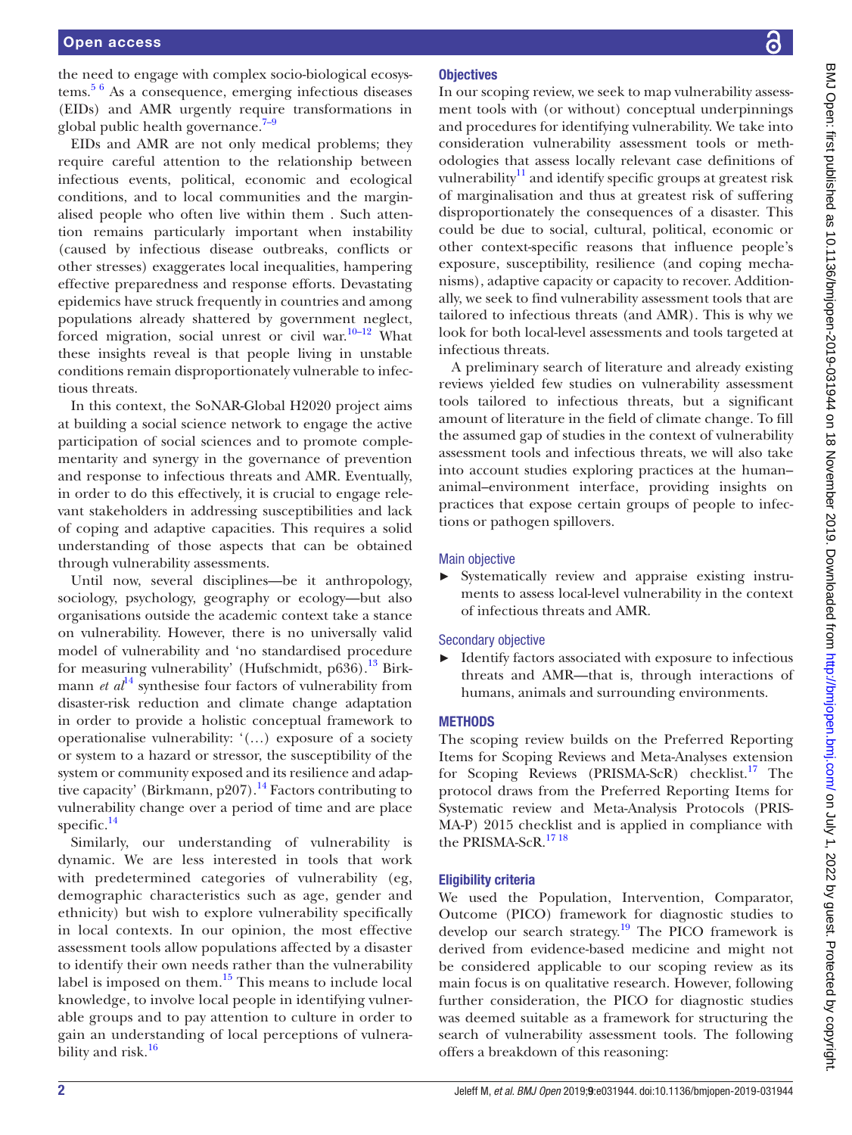the need to engage with complex socio-biological ecosystems. $56$  As a consequence, emerging infectious diseases (EIDs) and AMR urgently require transformations in global public health governance. $7-9$ 

EIDs and AMR are not only medical problems; they require careful attention to the relationship between infectious events, political, economic and ecological conditions, and to local communities and the marginalised people who often live within them . Such attention remains particularly important when instability (caused by infectious disease outbreaks, conflicts or other stresses) exaggerates local inequalities, hampering effective preparedness and response efforts. Devastating epidemics have struck frequently in countries and among populations already shattered by government neglect, forced migration, social unrest or civil war.<sup>10-12</sup> What these insights reveal is that people living in unstable conditions remain disproportionately vulnerable to infectious threats.

In this context, the SoNAR-Global H2020 project aims at building a social science network to engage the active participation of social sciences and to promote complementarity and synergy in the governance of prevention and response to infectious threats and AMR. Eventually, in order to do this effectively, it is crucial to engage relevant stakeholders in addressing susceptibilities and lack of coping and adaptive capacities. This requires a solid understanding of those aspects that can be obtained through vulnerability assessments.

Until now, several disciplines—be it anthropology, sociology, psychology, geography or ecology—but also organisations outside the academic context take a stance on vulnerability. However, there is no universally valid model of vulnerability and 'no standardised procedure for measuring vulnerability' (Hufschmidt,  $p636$ ).<sup>13</sup> Birkmann *et*  $al^{14}$  $al^{14}$  $al^{14}$  synthesise four factors of vulnerability from disaster-risk reduction and climate change adaptation in order to provide a holistic conceptual framework to operationalise vulnerability: '(…) exposure of a society or system to a hazard or stressor, the susceptibility of the system or community exposed and its resilience and adaptive capacity' (Birkmann,  $p207$ ).<sup>14</sup> Factors contributing to vulnerability change over a period of time and are place specific. $14$ 

Similarly, our understanding of vulnerability is dynamic. We are less interested in tools that work with predetermined categories of vulnerability (eg, demographic characteristics such as age, gender and ethnicity) but wish to explore vulnerability specifically in local contexts. In our opinion, the most effective assessment tools allow populations affected by a disaster to identify their own needs rather than the vulnerability label is imposed on them. $15$  This means to include local knowledge, to involve local people in identifying vulnerable groups and to pay attention to culture in order to gain an understanding of local perceptions of vulnerability and risk. $16$ 

# **Objectives**

In our scoping review, we seek to map vulnerability assessment tools with (or without) conceptual underpinnings and procedures for identifying vulnerability. We take into consideration vulnerability assessment tools or methodologies that assess locally relevant case definitions of vulnerability $\frac{1}{1}$  and identify specific groups at greatest risk of marginalisation and thus at greatest risk of suffering disproportionately the consequences of a disaster. This could be due to social, cultural, political, economic or other context-specific reasons that influence people's exposure, susceptibility, resilience (and coping mechanisms), adaptive capacity or capacity to recover. Additionally, we seek to find vulnerability assessment tools that are tailored to infectious threats (and AMR). This is why we look for both local-level assessments and tools targeted at infectious threats.

A preliminary search of literature and already existing reviews yielded few studies on vulnerability assessment tools tailored to infectious threats, but a significant amount of literature in the field of climate change. To fill the assumed gap of studies in the context of vulnerability assessment tools and infectious threats, we will also take into account studies exploring practices at the human– animal–environment interface, providing insights on practices that expose certain groups of people to infections or pathogen spillovers.

# Main objective

► Systematically review and appraise existing instruments to assess local-level vulnerability in the context of infectious threats and AMR.

# Secondary objective

► Identify factors associated with exposure to infectious threats and AMR—that is, through interactions of humans, animals and surrounding environments.

# **METHODS**

The scoping review builds on the Preferred Reporting Items for Scoping Reviews and Meta-Analyses extension for Scoping Reviews (PRISMA-ScR) checklist.<sup>17</sup> The protocol draws from the Preferred Reporting Items for Systematic review and Meta-Analysis Protocols (PRIS-MA-P) 2015 checklist and is applied in compliance with the PRISMA-ScR.<sup>1718</sup>

# Eligibility criteria

We used the Population, Intervention, Comparator, Outcome (PICO) framework for diagnostic studies to develop our search strategy.<sup>19</sup> The PICO framework is derived from evidence-based medicine and might not be considered applicable to our scoping review as its main focus is on qualitative research. However, following further consideration, the PICO for diagnostic studies was deemed suitable as a framework for structuring the search of vulnerability assessment tools. The following offers a breakdown of this reasoning: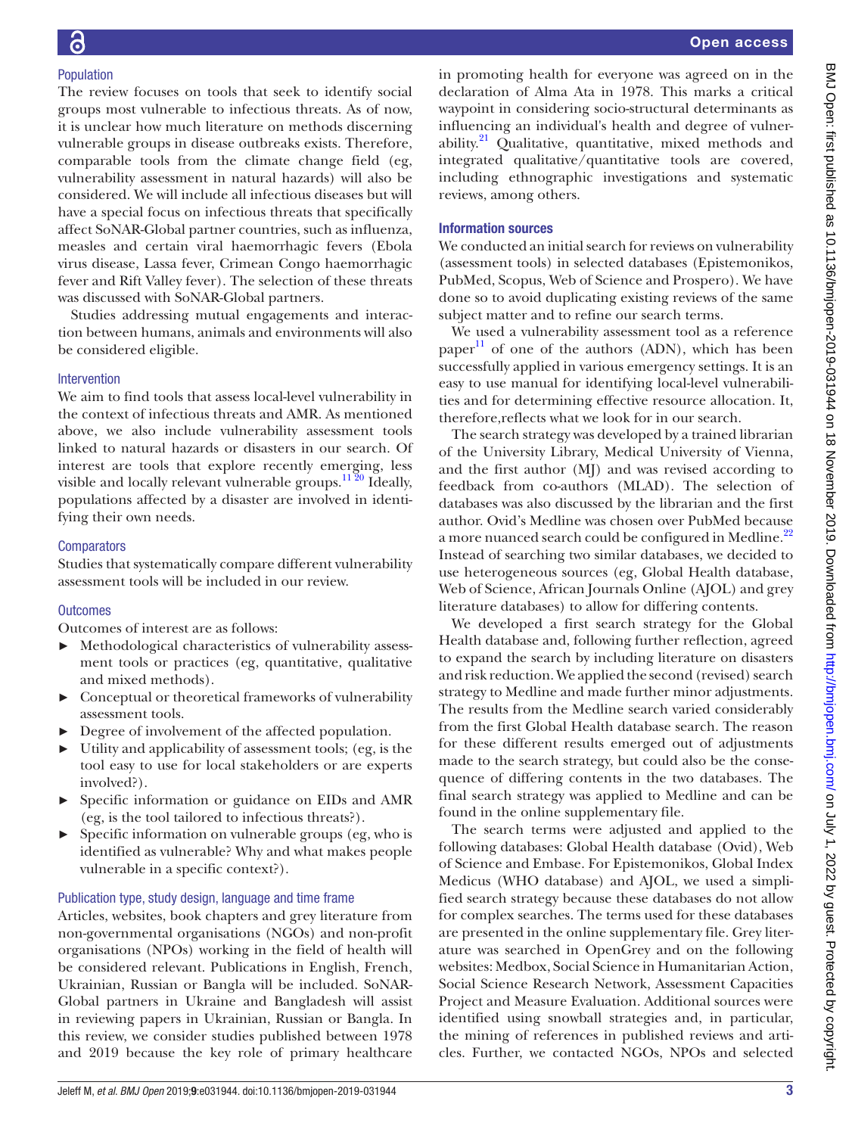# Population

The review focuses on tools that seek to identify social groups most vulnerable to infectious threats. As of now, it is unclear how much literature on methods discerning vulnerable groups in disease outbreaks exists. Therefore, comparable tools from the climate change field (eg, vulnerability assessment in natural hazards) will also be considered. We will include all infectious diseases but will have a special focus on infectious threats that specifically affect SoNAR-Global partner countries, such as influenza, measles and certain viral haemorrhagic fevers (Ebola virus disease, Lassa fever, Crimean Congo haemorrhagic fever and Rift Valley fever). The selection of these threats was discussed with SoNAR-Global partners.

Studies addressing mutual engagements and interaction between humans, animals and environments will also be considered eligible.

# Intervention

We aim to find tools that assess local-level vulnerability in the context of infectious threats and AMR. As mentioned above, we also include vulnerability assessment tools linked to natural hazards or disasters in our search. Of interest are tools that explore recently emerging, less visible and locally relevant vulnerable groups.<sup>11 20</sup> Ideally, populations affected by a disaster are involved in identifying their own needs.

# **Comparators**

Studies that systematically compare different vulnerability assessment tools will be included in our review.

# **Outcomes**

Outcomes of interest are as follows:

- ► Methodological characteristics of vulnerability assessment tools or practices (eg, quantitative, qualitative and mixed methods).
- ► Conceptual or theoretical frameworks of vulnerability assessment tools.
- Degree of involvement of the affected population.
- ► Utility and applicability of assessment tools; (eg, is the tool easy to use for local stakeholders or are experts involved?).
- Specific information or guidance on EIDs and AMR (eg, is the tool tailored to infectious threats?).
- ► Specific information on vulnerable groups (eg, who is identified as vulnerable? Why and what makes people vulnerable in a specific context?).

# Publication type, study design, language and time frame

Articles, websites, book chapters and grey literature from non-governmental organisations (NGOs) and non-profit organisations (NPOs) working in the field of health will be considered relevant. Publications in English, French, Ukrainian, Russian or Bangla will be included. SoNAR-Global partners in Ukraine and Bangladesh will assist in reviewing papers in Ukrainian, Russian or Bangla. In this review, we consider studies published between 1978 and 2019 because the key role of primary healthcare

in promoting health for everyone was agreed on in the declaration of Alma Ata in 1978. This marks a critical waypoint in considering socio-structural determinants as influencing an individual's health and degree of vulnerability.<sup>21</sup> Qualitative, quantitative, mixed methods and integrated qualitative/quantitative tools are covered, including ethnographic investigations and systematic reviews, among others.

# Information sources

We conducted an initial search for reviews on vulnerability (assessment tools) in selected databases (Epistemonikos, PubMed, Scopus, Web of Science and Prospero). We have done so to avoid duplicating existing reviews of the same subject matter and to refine our search terms.

We used a vulnerability assessment tool as a reference paper $11$  of one of the authors (ADN), which has been successfully applied in various emergency settings. It is an easy to use manual for identifying local-level vulnerabilities and for determining effective resource allocation. It, therefore,reflects what we look for in our search.

The search strategy was developed by a trained librarian of the University Library, Medical University of Vienna, and the first author (MJ) and was revised according to feedback from co-authors (MLAD). The selection of databases was also discussed by the librarian and the first author. Ovid's Medline was chosen over PubMed because a more nuanced search could be configured in Medline.<sup>[22](#page-4-13)</sup> Instead of searching two similar databases, we decided to use heterogeneous sources (eg, Global Health database, Web of Science, African Journals Online (AJOL) and grey literature databases) to allow for differing contents.

We developed a first search strategy for the Global Health database and, following further reflection, agreed to expand the search by including literature on disasters and risk reduction. We applied the second (revised) search strategy to Medline and made further minor adjustments. The results from the Medline search varied considerably from the first Global Health database search. The reason for these different results emerged out of adjustments made to the search strategy, but could also be the consequence of differing contents in the two databases. The final search strategy was applied to Medline and can be found in the [online supplementary file](https://dx.doi.org/10.1136/bmjopen-2019-031944).

The search terms were adjusted and applied to the following databases: Global Health database (Ovid), Web of Science and Embase. For Epistemonikos, Global Index Medicus (WHO database) and AJOL, we used a simplified search strategy because these databases do not allow for complex searches. The terms used for these databases are presented in the [online supplementary file](https://dx.doi.org/10.1136/bmjopen-2019-031944). Grey literature was searched in OpenGrey and on the following websites: Medbox, Social Science in Humanitarian Action, Social Science Research Network, Assessment Capacities Project and Measure Evaluation. Additional sources were identified using snowball strategies and, in particular, the mining of references in published reviews and articles. Further, we contacted NGOs, NPOs and selected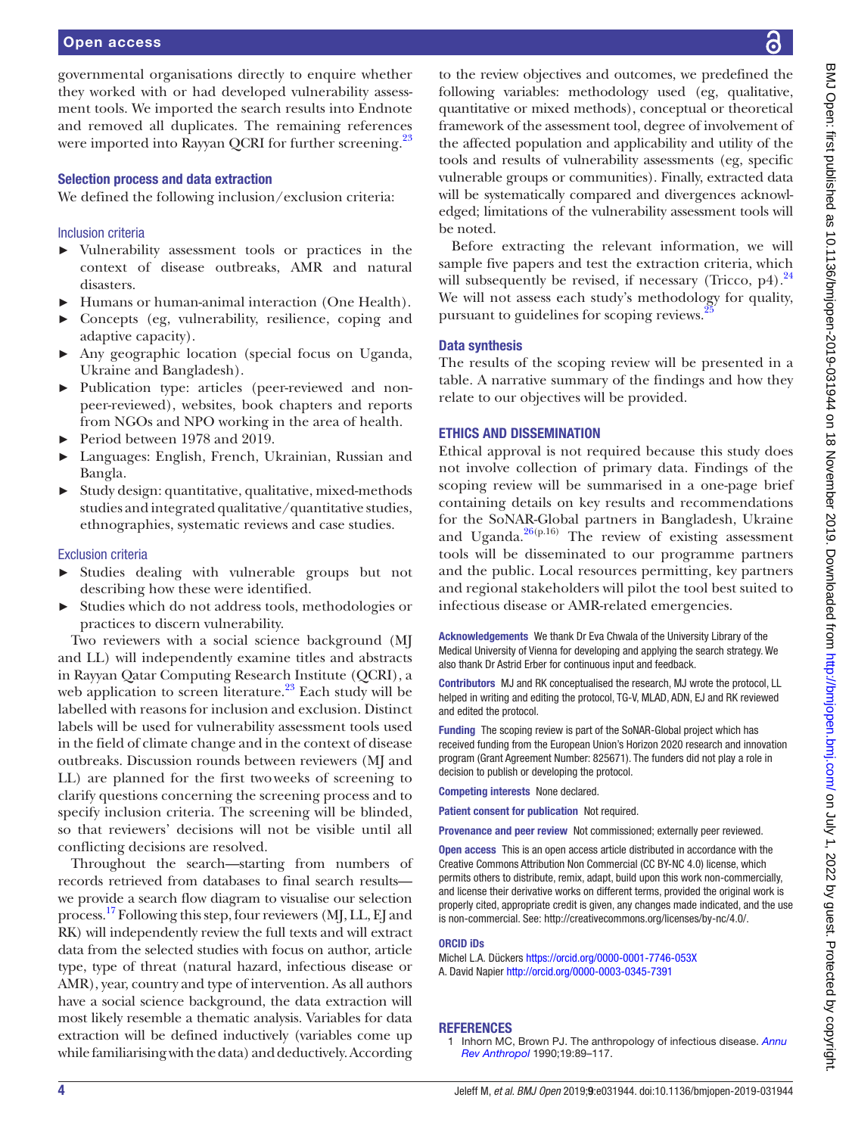governmental organisations directly to enquire whether they worked with or had developed vulnerability assessment tools. We imported the search results into Endnote and removed all duplicates. The remaining references were imported into Rayyan QCRI for further screening.<sup>[23](#page-4-14)</sup>

# Selection process and data extraction

We defined the following inclusion/exclusion criteria:

#### Inclusion criteria

- ► Vulnerability assessment tools or practices in the context of disease outbreaks, AMR and natural disasters.
- ► Humans or human-animal interaction (One Health).
- ► Concepts (eg, vulnerability, resilience, coping and adaptive capacity).
- ► Any geographic location (special focus on Uganda, Ukraine and Bangladesh).
- Publication type: articles (peer-reviewed and nonpeer-reviewed), websites, book chapters and reports from NGOs and NPO working in the area of health.
- ► Period between 1978 and 2019.
- ► Languages: English, French, Ukrainian, Russian and Bangla.
- ► Study design: quantitative, qualitative, mixed-methods studies and integrated qualitative/quantitative studies, ethnographies, systematic reviews and case studies.

#### Exclusion criteria

- Studies dealing with vulnerable groups but not describing how these were identified.
- ► Studies which do not address tools, methodologies or practices to discern vulnerability.

Two reviewers with a social science background (MJ and LL) will independently examine titles and abstracts in Rayyan Qatar Computing Research Institute (QCRI), a web application to screen literature. $^{23}$  Each study will be labelled with reasons for inclusion and exclusion. Distinct labels will be used for vulnerability assessment tools used in the field of climate change and in the context of disease outbreaks. Discussion rounds between reviewers (MJ and LL) are planned for the first twoweeks of screening to clarify questions concerning the screening process and to specify inclusion criteria. The screening will be blinded, so that reviewers' decisions will not be visible until all conflicting decisions are resolved.

Throughout the search—starting from numbers of records retrieved from databases to final search results we provide a search flow diagram to visualise our selection process.<sup>17</sup> Following this step, four reviewers (MJ, LL, EJ and RK) will independently review the full texts and will extract data from the selected studies with focus on author, article type, type of threat (natural hazard, infectious disease or AMR), year, country and type of intervention. As all authors have a social science background, the data extraction will most likely resemble a thematic analysis. Variables for data extraction will be defined inductively (variables come up while familiarising with the data) and deductively. According

to the review objectives and outcomes, we predefined the following variables: methodology used (eg, qualitative, quantitative or mixed methods), conceptual or theoretical framework of the assessment tool, degree of involvement of the affected population and applicability and utility of the tools and results of vulnerability assessments (eg, specific vulnerable groups or communities). Finally, extracted data will be systematically compared and divergences acknowledged; limitations of the vulnerability assessment tools will be noted.

Before extracting the relevant information, we will sample five papers and test the extraction criteria, which will subsequently be revised, if necessary (Tricco,  $p4$ ).<sup>[24](#page-4-15)</sup> We will not assess each study's methodology for quality, pursuant to guidelines for scoping reviews.<sup>3</sup>

#### Data synthesis

The results of the scoping review will be presented in a table. A narrative summary of the findings and how they relate to our objectives will be provided.

#### Ethics and dissemination

Ethical approval is not required because this study does not involve collection of primary data. Findings of the scoping review will be summarised in a one-page brief containing details on key results and recommendations for the SoNAR-Global partners in Bangladesh, Ukraine and Uganda. $^{26(p,16)}$  The review of existing assessment tools will be disseminated to our programme partners and the public. Local resources permitting, key partners and regional stakeholders will pilot the tool best suited to infectious disease or AMR-related emergencies.

Acknowledgements We thank Dr Eva Chwala of the University Library of the Medical University of Vienna for developing and applying the search strategy. We also thank Dr Astrid Erber for continuous input and feedback.

Contributors MJ and RK conceptualised the research, MJ wrote the protocol, LL helped in writing and editing the protocol, TG-V, MLAD, ADN, EJ and RK reviewed and edited the protocol.

Funding The scoping review is part of the SoNAR-Global project which has received funding from the European Union's Horizon 2020 research and innovation program (Grant Agreement Number: 825671). The funders did not play a role in decision to publish or developing the protocol.

Competing interests None declared.

Patient consent for publication Not required.

Provenance and peer review Not commissioned; externally peer reviewed.

Open access This is an open access article distributed in accordance with the Creative Commons Attribution Non Commercial (CC BY-NC 4.0) license, which permits others to distribute, remix, adapt, build upon this work non-commercially, and license their derivative works on different terms, provided the original work is properly cited, appropriate credit is given, any changes made indicated, and the use is non-commercial. See: [http://creativecommons.org/licenses/by-nc/4.0/.](http://creativecommons.org/licenses/by-nc/4.0/)

#### ORCID iDs

Michel L.A. Dückers <https://orcid.org/0000-0001-7746-053X> A. David Napier<http://orcid.org/0000-0003-0345-7391>

#### **REFERENCES**

<span id="page-3-0"></span><sup>1</sup> Inhorn MC, Brown PJ. The anthropology of infectious disease. *[Annu](http://dx.doi.org/10.1146/annurev.an.19.100190.000513)  [Rev Anthropol](http://dx.doi.org/10.1146/annurev.an.19.100190.000513)* 1990;19:89–117.